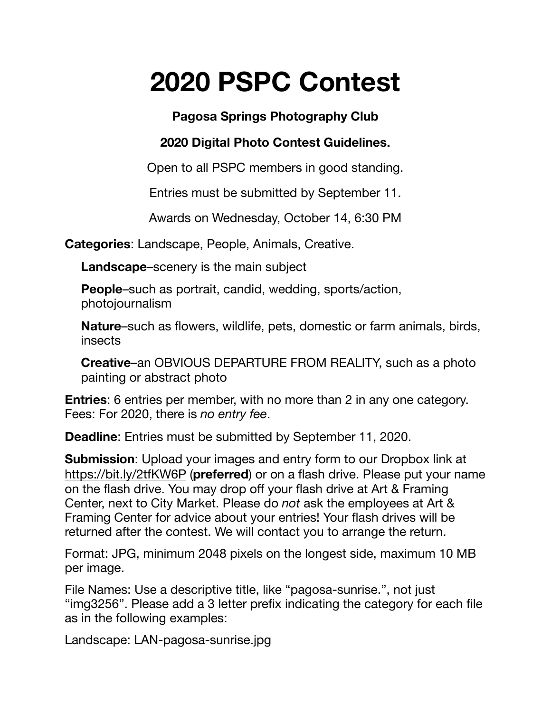## **2020 PSPC Contest**

**Pagosa Springs Photography Club** 

## **2020 Digital Photo Contest Guidelines.**

Open to all PSPC members in good standing.

Entries must be submitted by September 11.

Awards on Wednesday, October 14, 6:30 PM

**Categories**: Landscape, People, Animals, Creative.

**Landscape**–scenery is the main subject

**People**–such as portrait, candid, wedding, sports/action, photojournalism

**Nature**–such as flowers, wildlife, pets, domestic or farm animals, birds, insects

**Creative**–an OBVIOUS DEPARTURE FROM REALITY, such as a photo painting or abstract photo

**Entries**: 6 entries per member, with no more than 2 in any one category. Fees: For 2020, there is *no entry fee*.

**Deadline**: Entries must be submitted by September 11, 2020.

**Submission**: Upload your images and entry form to our Dropbox link at <https://bit.ly/2tfKW6P> (**preferred**) or on a flash drive. Please put your name on the flash drive. You may drop off your flash drive at Art & Framing Center, next to City Market. Please do *not* ask the employees at Art & Framing Center for advice about your entries! Your flash drives will be returned after the contest. We will contact you to arrange the return.

Format: JPG, minimum 2048 pixels on the longest side, maximum 10 MB per image.

File Names: Use a descriptive title, like "pagosa-sunrise.", not just "img3256". Please add a 3 letter prefix indicating the category for each file as in the following examples:

Landscape: LAN-pagosa-sunrise.jpg